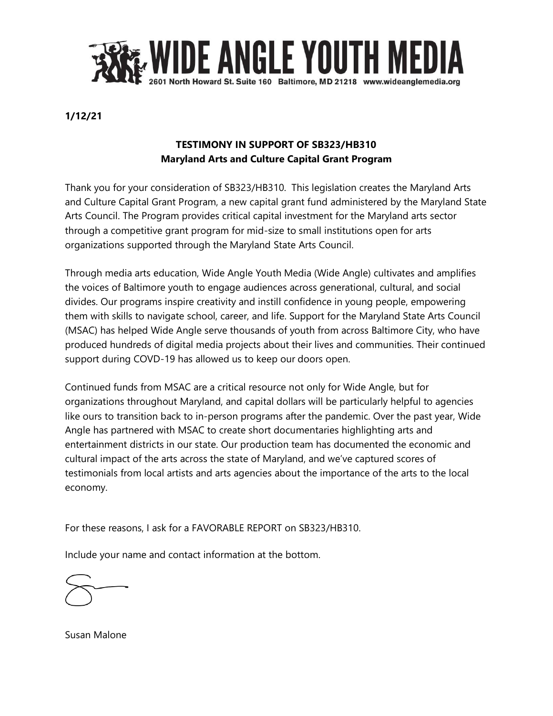

## **1/12/21**

## **TESTIMONY IN SUPPORT OF SB323/HB310 Maryland Arts and Culture Capital Grant Program**

Thank you for your consideration of SB323/HB310. This legislation creates the Maryland Arts and Culture Capital Grant Program, a new capital grant fund administered by the Maryland State Arts Council. The Program provides critical capital investment for the Maryland arts sector through a competitive grant program for mid-size to small institutions open for arts organizations supported through the Maryland State Arts Council.

Through media arts education, Wide Angle Youth Media (Wide Angle) cultivates and amplifies the voices of Baltimore youth to engage audiences across generational, cultural, and social divides. Our programs inspire creativity and instill confidence in young people, empowering them with skills to navigate school, career, and life. Support for the Maryland State Arts Council (MSAC) has helped Wide Angle serve thousands of youth from across Baltimore City, who have produced hundreds of digital media projects about their lives and communities. Their continued support during COVD-19 has allowed us to keep our doors open.

Continued funds from MSAC are a critical resource not only for Wide Angle, but for organizations throughout Maryland, and capital dollars will be particularly helpful to agencies like ours to transition back to in-person programs after the pandemic. Over the past year, Wide Angle has partnered with MSAC to create short documentaries highlighting arts and entertainment districts in our state. Our production team has documented the economic and cultural impact of the arts across the state of Maryland, and we've captured scores of testimonials from local artists and arts agencies about the importance of the arts to the local economy.

For these reasons, I ask for a FAVORABLE REPORT on SB323/HB310.

Include your name and contact information at the bottom.



Susan Malone